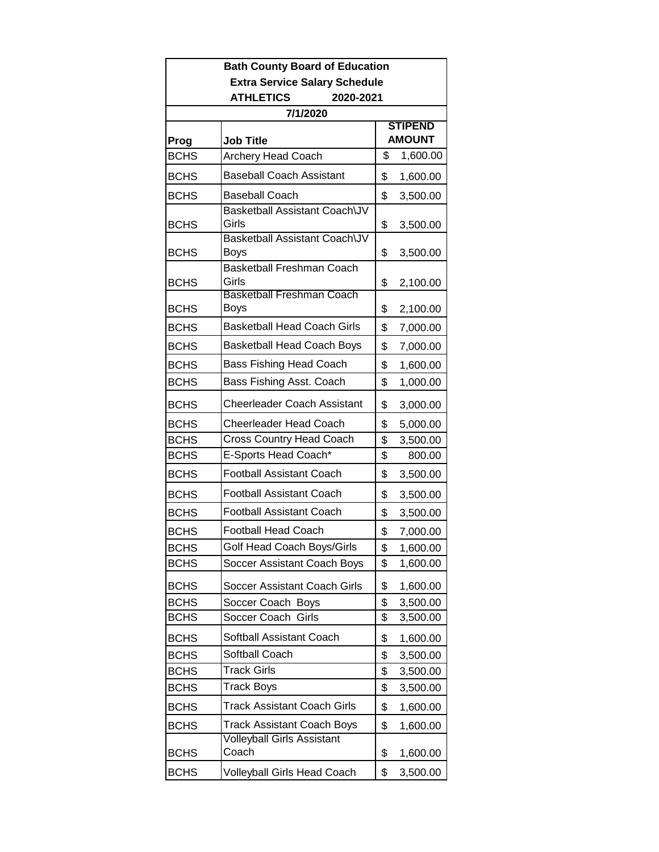| <b>Bath County Board of Education</b> |                                            |                                 |          |  |  |
|---------------------------------------|--------------------------------------------|---------------------------------|----------|--|--|
| <b>Extra Service Salary Schedule</b>  |                                            |                                 |          |  |  |
| <b>ATHLETICS</b><br>2020-2021         |                                            |                                 |          |  |  |
|                                       | 7/1/2020                                   |                                 |          |  |  |
| Prog                                  | <b>Job Title</b>                           | <b>STIPEND</b><br><b>AMOUNT</b> |          |  |  |
| <b>BCHS</b>                           | Archery Head Coach                         | \$                              | 1,600.00 |  |  |
| <b>BCHS</b>                           | <b>Baseball Coach Assistant</b>            | \$                              | 1,600.00 |  |  |
| <b>BCHS</b>                           | <b>Baseball Coach</b>                      | \$                              | 3,500.00 |  |  |
| <b>BCHS</b>                           | Basketball Assistant Coach\JV<br>Girls     | \$                              | 3,500.00 |  |  |
| <b>BCHS</b>                           | Basketball Assistant Coach\JV<br>Boys      | \$                              | 3,500.00 |  |  |
| <b>BCHS</b>                           | <b>Basketball Freshman Coach</b><br>Girls  | \$                              | 2,100.00 |  |  |
| <b>BCHS</b>                           | Basketball Freshman Coach<br>Boys          | \$                              | 2,100.00 |  |  |
| <b>BCHS</b>                           | <b>Basketball Head Coach Girls</b>         | \$                              | 7,000.00 |  |  |
| <b>BCHS</b>                           | <b>Basketball Head Coach Boys</b>          | \$                              | 7,000.00 |  |  |
| <b>BCHS</b>                           | <b>Bass Fishing Head Coach</b>             | \$                              | 1,600.00 |  |  |
| <b>BCHS</b>                           | Bass Fishing Asst. Coach                   | \$                              | 1,000.00 |  |  |
| <b>BCHS</b>                           | <b>Cheerleader Coach Assistant</b>         | \$                              | 3,000.00 |  |  |
| <b>BCHS</b>                           | <b>Cheerleader Head Coach</b>              | \$                              | 5,000.00 |  |  |
| <b>BCHS</b>                           | <b>Cross Country Head Coach</b>            | \$                              | 3,500.00 |  |  |
| <b>BCHS</b>                           | E-Sports Head Coach*                       | \$                              | 800.00   |  |  |
| <b>BCHS</b>                           | <b>Football Assistant Coach</b>            | \$                              | 3,500.00 |  |  |
| <b>BCHS</b>                           | <b>Football Assistant Coach</b>            | \$                              | 3,500.00 |  |  |
| <b>BCHS</b>                           | Football Assistant Coach                   | \$                              | 3,500.00 |  |  |
| <b>BCHS</b>                           | <b>Football Head Coach</b>                 | \$                              | 7,000.00 |  |  |
| <b>BCHS</b>                           | Golf Head Coach Boys/Girls                 | \$                              | 1,600.00 |  |  |
| <b>BCHS</b>                           | Soccer Assistant Coach Boys                | \$                              | 1,600.00 |  |  |
| <b>BCHS</b>                           | Soccer Assistant Coach Girls               | \$                              | 1,600.00 |  |  |
| <b>BCHS</b>                           | Soccer Coach Boys                          | \$                              | 3,500.00 |  |  |
| <b>BCHS</b>                           | Soccer Coach<br>Girls                      | \$                              | 3,500.00 |  |  |
| <b>BCHS</b>                           | Softball Assistant Coach                   | \$                              | 1,600.00 |  |  |
| <b>BCHS</b>                           | Softball Coach                             | \$                              | 3,500.00 |  |  |
| <b>BCHS</b>                           | <b>Track Girls</b>                         | \$                              | 3,500.00 |  |  |
| <b>BCHS</b>                           | Track Boys                                 | \$                              | 3,500.00 |  |  |
| <b>BCHS</b>                           | <b>Track Assistant Coach Girls</b>         | \$                              | 1,600.00 |  |  |
| <b>BCHS</b>                           | Track Assistant Coach Boys                 | \$                              | 1,600.00 |  |  |
| <b>BCHS</b>                           | <b>Volleyball Girls Assistant</b><br>Coach | \$                              | 1,600.00 |  |  |
| <b>BCHS</b>                           | Volleyball Girls Head Coach                | \$                              | 3,500.00 |  |  |